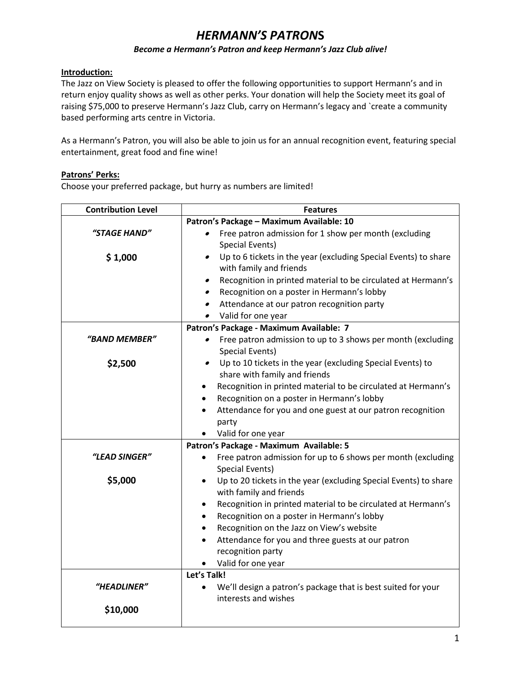# *HERMANN'S PATRON***S**

#### *Become a Hermann's Patron and keep Hermann's Jazz Club alive!*

## **Introduction:**

The Jazz on View Society is pleased to offer the following opportunities to support Hermann's and in return enjoy quality shows as well as other perks. Your donation will help the Society meet its goal of raising \$75,000 to preserve Hermann's Jazz Club, carry on Hermann's legacy and `create a community based performing arts centre in Victoria.

As a Hermann's Patron, you will also be able to join us for an annual recognition event, featuring special entertainment, great food and fine wine!

### **Patrons' Perks:**

Choose your preferred package, but hurry as numbers are limited!

| <b>Contribution Level</b> | <b>Features</b>                                                                             |
|---------------------------|---------------------------------------------------------------------------------------------|
|                           | Patron's Package - Maximum Available: 10                                                    |
| "STAGE HAND"              | Free patron admission for 1 show per month (excluding<br>$\bullet$                          |
|                           | Special Events)                                                                             |
| \$1,000                   | Up to 6 tickets in the year (excluding Special Events) to share<br>$\bullet$                |
|                           | with family and friends                                                                     |
|                           | Recognition in printed material to be circulated at Hermann's<br>$\bullet$                  |
|                           | Recognition on a poster in Hermann's lobby<br>$\bullet$                                     |
|                           | Attendance at our patron recognition party<br>$\bullet$                                     |
|                           | Valid for one year                                                                          |
|                           | Patron's Package - Maximum Available: 7                                                     |
| "BAND MEMBER"             | Free patron admission to up to 3 shows per month (excluding<br>$\bullet$<br>Special Events) |
| \$2,500                   | Up to 10 tickets in the year (excluding Special Events) to<br>$\bullet$                     |
|                           | share with family and friends                                                               |
|                           | Recognition in printed material to be circulated at Hermann's<br>٠                          |
|                           | Recognition on a poster in Hermann's lobby<br>٠                                             |
|                           | Attendance for you and one guest at our patron recognition                                  |
|                           | party                                                                                       |
|                           | Valid for one year                                                                          |
|                           | Patron's Package - Maximum Available: 5                                                     |
| "LEAD SINGER"             | Free patron admission for up to 6 shows per month (excluding                                |
|                           | Special Events)                                                                             |
| \$5,000                   | Up to 20 tickets in the year (excluding Special Events) to share<br>with family and friends |
|                           | Recognition in printed material to be circulated at Hermann's                               |
|                           | Recognition on a poster in Hermann's lobby                                                  |
|                           | Recognition on the Jazz on View's website                                                   |
|                           | Attendance for you and three guests at our patron                                           |
|                           | recognition party                                                                           |
|                           | Valid for one year                                                                          |
|                           | Let's Talk!                                                                                 |
| "HEADLINER"               | We'll design a patron's package that is best suited for your                                |
|                           | interests and wishes                                                                        |
| \$10,000                  |                                                                                             |
|                           |                                                                                             |